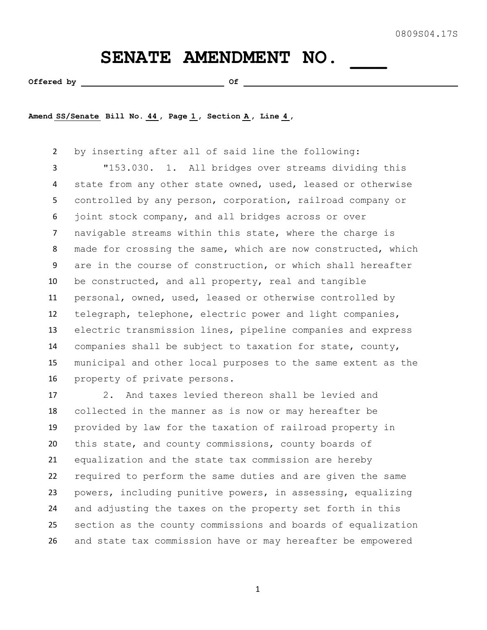## SENATE AMENDMENT NO.

**Offered by Of** 

**Amend SS/Senate Bill No. 44 , Page 1 , Section A , Line 4 ,** 

 by inserting after all of said line the following: "153.030. 1. All bridges over streams dividing this state from any other state owned, used, leased or otherwise controlled by any person, corporation, railroad company or joint stock company, and all bridges across or over navigable streams within this state, where the charge is made for crossing the same, which are now constructed, which are in the course of construction, or which shall hereafter be constructed, and all property, real and tangible personal, owned, used, leased or otherwise controlled by telegraph, telephone, electric power and light companies, electric transmission lines, pipeline companies and express companies shall be subject to taxation for state, county, municipal and other local purposes to the same extent as the property of private persons.

 2. And taxes levied thereon shall be levied and collected in the manner as is now or may hereafter be provided by law for the taxation of railroad property in this state, and county commissions, county boards of equalization and the state tax commission are hereby required to perform the same duties and are given the same powers, including punitive powers, in assessing, equalizing and adjusting the taxes on the property set forth in this section as the county commissions and boards of equalization and state tax commission have or may hereafter be empowered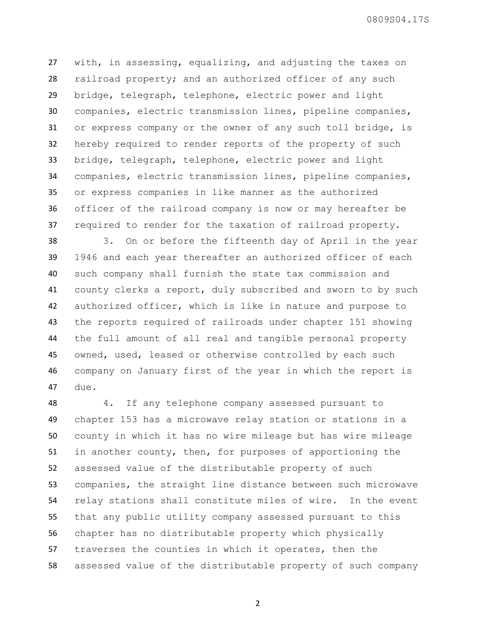with, in assessing, equalizing, and adjusting the taxes on railroad property; and an authorized officer of any such bridge, telegraph, telephone, electric power and light companies, electric transmission lines, pipeline companies, or express company or the owner of any such toll bridge, is hereby required to render reports of the property of such bridge, telegraph, telephone, electric power and light companies, electric transmission lines, pipeline companies, or express companies in like manner as the authorized officer of the railroad company is now or may hereafter be required to render for the taxation of railroad property.

 3. On or before the fifteenth day of April in the year 1946 and each year thereafter an authorized officer of each such company shall furnish the state tax commission and county clerks a report, duly subscribed and sworn to by such authorized officer, which is like in nature and purpose to the reports required of railroads under chapter 151 showing the full amount of all real and tangible personal property owned, used, leased or otherwise controlled by each such company on January first of the year in which the report is due.

 4. If any telephone company assessed pursuant to chapter 153 has a microwave relay station or stations in a county in which it has no wire mileage but has wire mileage in another county, then, for purposes of apportioning the assessed value of the distributable property of such companies, the straight line distance between such microwave relay stations shall constitute miles of wire. In the event that any public utility company assessed pursuant to this chapter has no distributable property which physically traverses the counties in which it operates, then the assessed value of the distributable property of such company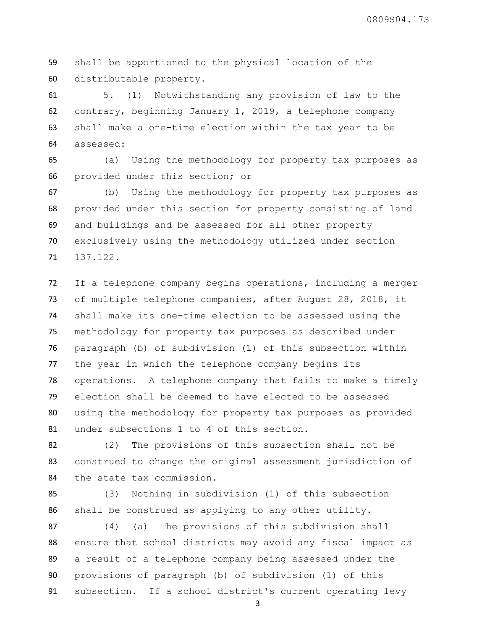shall be apportioned to the physical location of the distributable property.

 5. (1) Notwithstanding any provision of law to the contrary, beginning January 1, 2019, a telephone company shall make a one-time election within the tax year to be assessed:

 (a) Using the methodology for property tax purposes as provided under this section; or

 (b) Using the methodology for property tax purposes as provided under this section for property consisting of land and buildings and be assessed for all other property exclusively using the methodology utilized under section 137.122.

 If a telephone company begins operations, including a merger of multiple telephone companies, after August 28, 2018, it shall make its one-time election to be assessed using the methodology for property tax purposes as described under paragraph (b) of subdivision (1) of this subsection within the year in which the telephone company begins its operations. A telephone company that fails to make a timely election shall be deemed to have elected to be assessed using the methodology for property tax purposes as provided under subsections 1 to 4 of this section.

 (2) The provisions of this subsection shall not be construed to change the original assessment jurisdiction of the state tax commission.

 (3) Nothing in subdivision (1) of this subsection shall be construed as applying to any other utility.

 (4) (a) The provisions of this subdivision shall 88 ensure that school districts may avoid any fiscal impact as a result of a telephone company being assessed under the provisions of paragraph (b) of subdivision (1) of this subsection. If a school district's current operating levy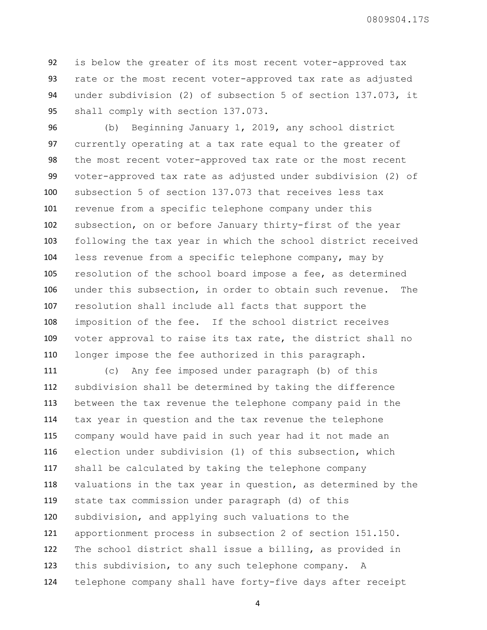is below the greater of its most recent voter-approved tax rate or the most recent voter-approved tax rate as adjusted under subdivision (2) of subsection 5 of section 137.073, it shall comply with section 137.073.

 (b) Beginning January 1, 2019, any school district currently operating at a tax rate equal to the greater of the most recent voter-approved tax rate or the most recent voter-approved tax rate as adjusted under subdivision (2) of subsection 5 of section 137.073 that receives less tax revenue from a specific telephone company under this subsection, on or before January thirty-first of the year following the tax year in which the school district received less revenue from a specific telephone company, may by resolution of the school board impose a fee, as determined under this subsection, in order to obtain such revenue. The resolution shall include all facts that support the imposition of the fee. If the school district receives voter approval to raise its tax rate, the district shall no longer impose the fee authorized in this paragraph.

 (c) Any fee imposed under paragraph (b) of this subdivision shall be determined by taking the difference between the tax revenue the telephone company paid in the tax year in question and the tax revenue the telephone company would have paid in such year had it not made an election under subdivision (1) of this subsection, which shall be calculated by taking the telephone company valuations in the tax year in question, as determined by the state tax commission under paragraph (d) of this subdivision, and applying such valuations to the apportionment process in subsection 2 of section 151.150. The school district shall issue a billing, as provided in this subdivision, to any such telephone company. A telephone company shall have forty-five days after receipt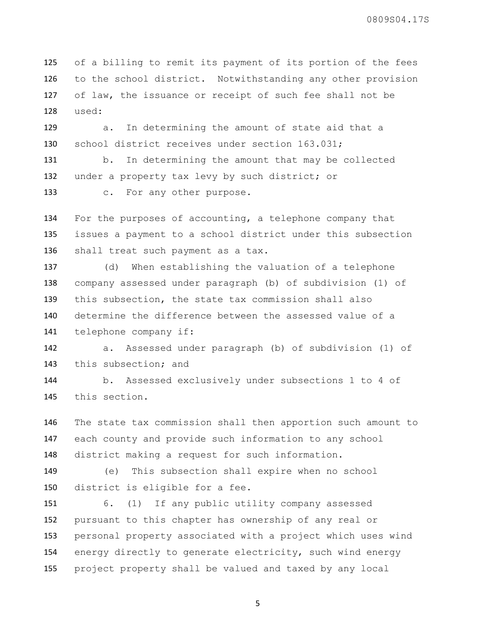of a billing to remit its payment of its portion of the fees to the school district. Notwithstanding any other provision of law, the issuance or receipt of such fee shall not be used:

 a. In determining the amount of state aid that a school district receives under section 163.031;

 b. In determining the amount that may be collected under a property tax levy by such district; or

c. For any other purpose.

 For the purposes of accounting, a telephone company that issues a payment to a school district under this subsection shall treat such payment as a tax.

 (d) When establishing the valuation of a telephone company assessed under paragraph (b) of subdivision (1) of this subsection, the state tax commission shall also determine the difference between the assessed value of a telephone company if:

 a. Assessed under paragraph (b) of subdivision (1) of 143 this subsection; and

 b. Assessed exclusively under subsections 1 to 4 of this section.

 The state tax commission shall then apportion such amount to each county and provide such information to any school district making a request for such information.

 (e) This subsection shall expire when no school district is eligible for a fee.

 6. (1) If any public utility company assessed pursuant to this chapter has ownership of any real or personal property associated with a project which uses wind energy directly to generate electricity, such wind energy project property shall be valued and taxed by any local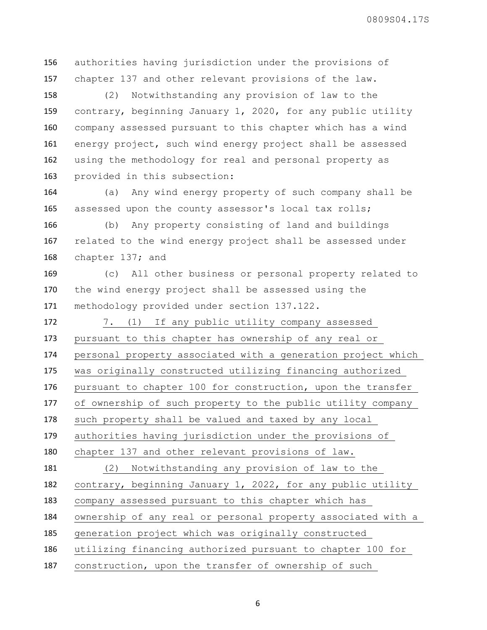authorities having jurisdiction under the provisions of chapter 137 and other relevant provisions of the law.

 (2) Notwithstanding any provision of law to the contrary, beginning January 1, 2020, for any public utility company assessed pursuant to this chapter which has a wind energy project, such wind energy project shall be assessed using the methodology for real and personal property as provided in this subsection:

 (a) Any wind energy property of such company shall be assessed upon the county assessor's local tax rolls;

 (b) Any property consisting of land and buildings related to the wind energy project shall be assessed under chapter 137; and

 (c) All other business or personal property related to the wind energy project shall be assessed using the methodology provided under section 137.122.

 7. (1) If any public utility company assessed pursuant to this chapter has ownership of any real or personal property associated with a generation project which was originally constructed utilizing financing authorized pursuant to chapter 100 for construction, upon the transfer of ownership of such property to the public utility company such property shall be valued and taxed by any local authorities having jurisdiction under the provisions of chapter 137 and other relevant provisions of law. (2) Notwithstanding any provision of law to the contrary, beginning January 1, 2022, for any public utility company assessed pursuant to this chapter which has ownership of any real or personal property associated with a generation project which was originally constructed utilizing financing authorized pursuant to chapter 100 for construction, upon the transfer of ownership of such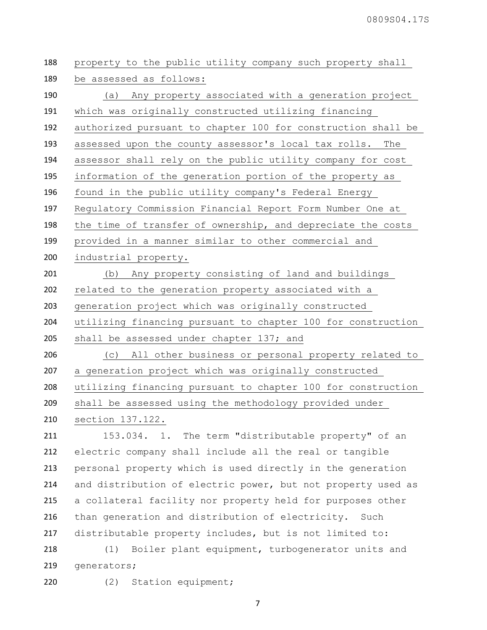| 188 | property to the public utility company such property shall   |
|-----|--------------------------------------------------------------|
| 189 | be assessed as follows:                                      |
| 190 | (a) Any property associated with a generation project        |
| 191 | which was originally constructed utilizing financing         |
| 192 | authorized pursuant to chapter 100 for construction shall be |
| 193 | assessed upon the county assessor's local tax rolls.<br>The  |
| 194 | assessor shall rely on the public utility company for cost   |
| 195 | information of the generation portion of the property as     |
| 196 | found in the public utility company's Federal Energy         |
| 197 | Regulatory Commission Financial Report Form Number One at    |
| 198 | the time of transfer of ownership, and depreciate the costs  |
| 199 | provided in a manner similar to other commercial and         |
| 200 | industrial property.                                         |
| 201 | (b) Any property consisting of land and buildings            |
| 202 | related to the generation property associated with a         |
| 203 | generation project which was originally constructed          |
|     |                                                              |
| 204 | utilizing financing pursuant to chapter 100 for construction |
| 205 | shall be assessed under chapter 137; and                     |
| 206 | (c) All other business or personal property related to       |
| 207 | a generation project which was originally constructed        |
| 208 | utilizing financing pursuant to chapter 100 for construction |
| 209 | shall be assessed using the methodology provided under       |
| 210 | section 137.122.                                             |
| 211 | The term "distributable property" of an<br>153.034. 1.       |
| 212 | electric company shall include all the real or tangible      |
| 213 | personal property which is used directly in the generation   |
| 214 | and distribution of electric power, but not property used as |
| 215 | a collateral facility nor property held for purposes other   |
| 216 | than generation and distribution of electricity. Such        |
| 217 | distributable property includes, but is not limited to:      |
| 218 | Boiler plant equipment, turbogenerator units and<br>(1)      |

(2) Station equipment;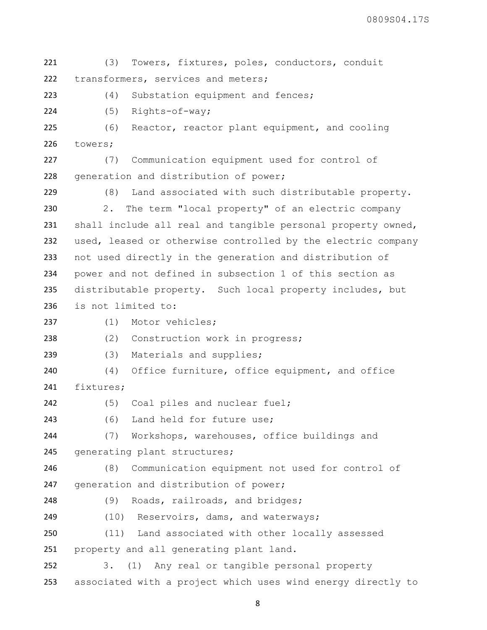(3) Towers, fixtures, poles, conductors, conduit transformers, services and meters;

(4) Substation equipment and fences;

(5) Rights-of-way;

 (6) Reactor, reactor plant equipment, and cooling towers;

 (7) Communication equipment used for control of 228 generation and distribution of power;

 (8) Land associated with such distributable property. 2. The term "local property" of an electric company shall include all real and tangible personal property owned, used, leased or otherwise controlled by the electric company not used directly in the generation and distribution of power and not defined in subsection 1 of this section as 235 distributable property. Such local property includes, but is not limited to:

```
237 (1) Motor vehicles;
```
238 (2) Construction work in progress;

(3) Materials and supplies;

 (4) Office furniture, office equipment, and office fixtures;

(5) Coal piles and nuclear fuel;

(6) Land held for future use;

 (7) Workshops, warehouses, office buildings and 245 generating plant structures;

 (8) Communication equipment not used for control of 247 generation and distribution of power;

248 (9) Roads, railroads, and bridges;

249 (10) Reservoirs, dams, and waterways;

 (11) Land associated with other locally assessed property and all generating plant land.

 3. (1) Any real or tangible personal property associated with a project which uses wind energy directly to